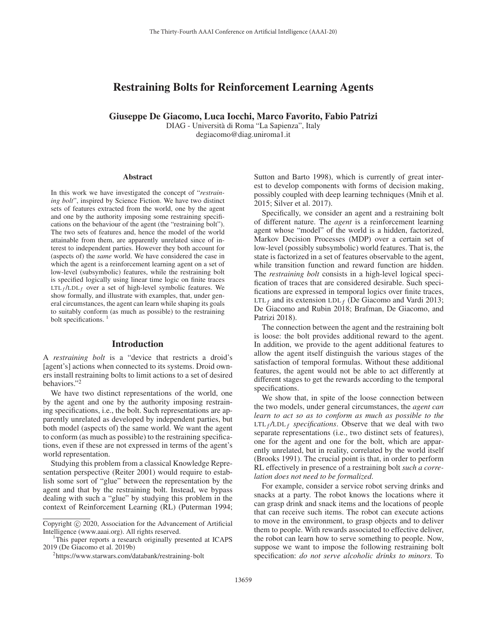# Restraining Bolts for Reinforcement Learning Agents

Giuseppe De Giacomo, Luca Iocchi, Marco Favorito, Fabio Patrizi

DIAG - Universita di Roma "La Sapienza", Italy ` degiacomo@diag.uniroma1.it

#### **Abstract**

In this work we have investigated the concept of "*restraining bolt*", inspired by Science Fiction. We have two distinct sets of features extracted from the world, one by the agent and one by the authority imposing some restraining specifications on the behaviour of the agent (the "restraining bolt"). The two sets of features and, hence the model of the world attainable from them, are apparently unrelated since of interest to independent parties. However they both account for (aspects of) the *same* world. We have considered the case in which the agent is a reinforcement learning agent on a set of low-level (subsymbolic) features, while the restraining bolt is specified logically using linear time logic on finite traces  $LTL_f / LDL_f$  over a set of high-level symbolic features. We show formally, and illustrate with examples, that, under general circumstances, the agent can learn while shaping its goals to suitably conform (as much as possible) to the restraining bolt specifications.

## Introduction

A *restraining bolt* is a "device that restricts a droid's [agent's] actions when connected to its systems. Droid owners install restraining bolts to limit actions to a set of desired behaviors."2

We have two distinct representations of the world, one by the agent and one by the authority imposing restraining specifications, i.e., the bolt. Such representations are apparently unrelated as developed by independent parties, but both model (aspects of) the same world. We want the agent to conform (as much as possible) to the restraining specifications, even if these are not expressed in terms of the agent's world representation.

Studying this problem from a classical Knowledge Representation perspective (Reiter 2001) would require to establish some sort of "glue" between the representation by the agent and that by the restraining bolt. Instead, we bypass dealing with such a "glue" by studying this problem in the context of Reinforcement Learning (RL) (Puterman 1994; Sutton and Barto 1998), which is currently of great interest to develop components with forms of decision making, possibly coupled with deep learning techniques (Mnih et al. 2015; Silver et al. 2017).

Specifically, we consider an agent and a restraining bolt of different nature. The *agent* is a reinforcement learning agent whose "model" of the world is a hidden, factorized, Markov Decision Processes (MDP) over a certain set of low-level (possibly subsymbolic) world features. That is, the state is factorized in a set of features observable to the agent, while transition function and reward function are hidden. The *restraining bolt* consists in a high-level logical specification of traces that are considered desirable. Such specifications are expressed in temporal logics over finite traces, LTL<sub>f</sub> and its extension LDL<sub>f</sub> (De Giacomo and Vardi 2013; De Giacomo and Rubin 2018; Brafman, De Giacomo, and Patrizi 2018).

The connection between the agent and the restraining bolt is loose: the bolt provides additional reward to the agent. In addition, we provide to the agent additional features to allow the agent itself distinguish the various stages of the satisfaction of temporal formulas. Without these additional features, the agent would not be able to act differently at different stages to get the rewards according to the temporal specifications.

We show that, in spite of the loose connection between the two models, under general circumstances, the *agent can learn to act so as to conform as much as possible to the*  $LTL_f/LDL_f$  *specifications*. Observe that we deal with two separate representations (i.e., two distinct sets of features), one for the agent and one for the bolt, which are apparently unrelated, but in reality, correlated by the world itself (Brooks 1991). The crucial point is that, in order to perform RL effectively in presence of a restraining bolt *such a correlation does not need to be formalized*.

For example, consider a service robot serving drinks and snacks at a party. The robot knows the locations where it can grasp drink and snack items and the locations of people that can receive such items. The robot can execute actions to move in the environment, to grasp objects and to deliver them to people. With rewards associated to effective deliver, the robot can learn how to serve something to people. Now, suppose we want to impose the following restraining bolt specification: *do not serve alcoholic drinks to minors*. To

Copyright  $\odot$  2020, Association for the Advancement of Artificial Intelligence (www.aaai.org). All rights reserved.

<sup>&</sup>lt;sup>1</sup>This paper reports a research originally presented at ICAPS 2019 (De Giacomo et al. 2019b)

<sup>2</sup> https://www.starwars.com/databank/restraining-bolt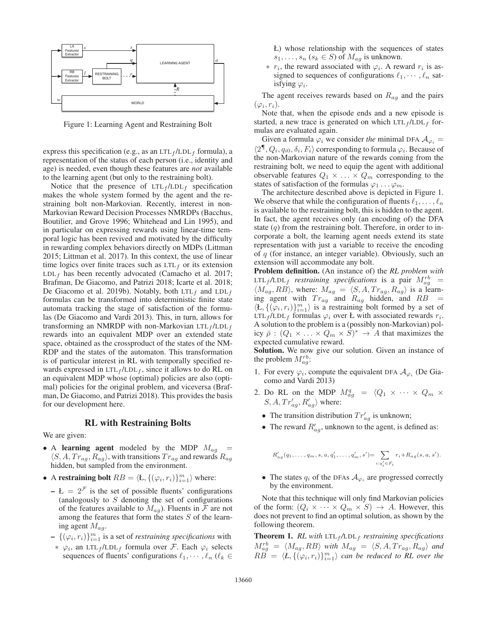

Figure 1: Learning Agent and Restraining Bolt

express this specification (e.g., as an LTL $_f$ /LDL $_f$  formula), a representation of the status of each person (i.e., identity and age) is needed, even though these features are *not* available to the learning agent (but only to the restraining bolt).

Notice that the presence of  $LTL_f / LDL_f$  specification makes the whole system formed by the agent and the restraining bolt non-Markovian. Recently, interest in non-Markovian Reward Decision Processes NMRDPs (Bacchus, Boutilier, and Grove 1996; Whitehead and Lin 1995), and in particular on expressing rewards using linear-time temporal logic has been revived and motivated by the difficulty in rewarding complex behaviors directly on MDPs (Littman 2015; Littman et al. 2017). In this context, the use of linear time logics over finite traces such as  $LTL<sub>f</sub>$  or its extension  $LDL_f$  has been recently advocated (Camacho et al. 2017; Brafman, De Giacomo, and Patrizi 2018; Icarte et al. 2018; De Giacomo et al. 2019b). Notably, both  $LTL_f$  and  $LDLL_f$ formulas can be transformed into deterministic finite state automata tracking the stage of satisfaction of the formulas (De Giacomo and Vardi 2013). This, in turn, allows for transforming an NMRDP with non-Markovian  $LTL_f / LDL_f$ rewards into an equivalent MDP over an extended state space, obtained as the crossproduct of the states of the NM-RDP and the states of the automaton. This transformation is of particular interest in RL with temporally specified rewards expressed in  $LTL_f/LDL_f$ , since it allows to do RL on an equivalent MDP whose (optimal) policies are also (optimal) policies for the original problem, and viceversa (Brafman, De Giacomo, and Patrizi 2018). This provides the basis for our development here.

#### RL with Restraining Bolts

We are given:

- A learning agent modeled by the MDP  $M_{ag}$  =  $\langle S, A, Tr_{ag}, R_{ag} \rangle$ , with transitions  $Tr_{ag}$  and rewards  $R_{ag}$ hidden, but sampled from the environment.
- A restraining bolt  $RB = \langle \mathbf{L}, \{(\varphi_i, r_i)\}_{i=1}^m \rangle$  where:
	- $L = 2<sup>F</sup>$  is the set of possible fluents' configurations (analogously to  $S$  denoting the set of configurations of the features available to  $M_{ag}$ ). Fluents in  $\mathcal F$  are not among the features that form the states  $S$  of the learning agent  $M_{ag}$ .
	- $\{(\varphi_i, r_i)\}_{i=1}^m$  is a set of *restraining specifications* with
	- $∗$   $φ<sub>i</sub>$ , an LTL<sub>f</sub>/LDL<sub>f</sub> formula over *F*. Each  $φ<sub>i</sub>$  selects sequences of fluents' configurations  $\ell_1, \dots, \ell_n$  ( $\ell_k \in$
- Ł) whose relationship with the sequences of states  $s_1,\ldots,s_n$   $(s_k \in S)$  of  $M_{ag}$  is unknown.
- ∗  $r_i$ , the reward associated with  $\varphi_i$ . A reward  $r_i$  is assigned to sequences of configurations  $\ell_1, \dots, \ell_n$  satisfying  $\varphi_i$ .

The agent receives rewards based on  $R_{ag}$  and the pairs  $(\varphi_i, r_i)$ .

Note that, when the episode ends and a new episode is started, a new trace is generated on which  $LTL_f / LDL_f$  formulas are evaluated again.

Given a formula  $\varphi_i$  we consider *the* minimal DFA  $\mathcal{A}_{\varphi_i} =$  $\langle 2^\P, Q_i, q_{i0}, \delta_i, F_i \rangle$  corresponding to formula  $\varphi_i$ . Because of the non-Markovian nature of the rewards coming from the restraining bolt, we need to equip the agent with additional observable features  $Q_1 \times \ldots \times Q_m$  corresponding to the states of satisfaction of the formulas  $\varphi_1 \dots \varphi_m$ .

The architecture described above is depicted in Figure 1. We observe that while the configuration of fluents  $\ell_1,\ldots,\ell_n$ is available to the restraining bolt, this is hidden to the agent. In fact, the agent receives only (an encoding of) the DFA state  $(q)$  from the restraining bolt. Therefore, in order to incorporate a bolt, the learning agent needs extend its state representation with just a variable to receive the encoding of  $q$  (for instance, an integer variable). Obviously, such an extension will accommodate any bolt.

Problem definition. (An instance of) the *RL problem with*  $LTL_f/LDL_f$  *restraining specifications* is a pair  $M_{ag}^{rb}$  =  $\langle M_{ag}, RB \rangle$ , where:  $M_{ag} = \langle S, A, Tr_{ag}, R_{ag} \rangle$  is a learning agent with  $Tr_{ag}$  and  $R_{ag}$  hidden, and  $RB =$  $\langle \mathbf{L}, \{(\varphi_i, r_i)\}_{i=1}^m \rangle$  is a restraining bolt formed by a set of LTL<sub>f</sub>/LDL<sub>f</sub> formulas  $\varphi_i$  over Ł with associated rewards  $r_i$ . A solution to the problem is a (possibly non-Markovian) policy  $\bar{\rho}: (Q_1 \times \ldots \times Q_m \times S)^* \to A$  that maximizes the expected cumulative reward.

Solution. We now give our solution. Given an instance of the problem  $M_{ag}^{rb}$ :

- 1. For every  $\varphi_i$ , compute the equivalent DFA  $\mathcal{A}_{\varphi_i}$  (De Giacomo and Vardi 2013)
- 2. Do RL on the MDP  $M_{ag}^q = \langle Q_1 \times \cdots \times Q_m \times$  $S, A, Tr'_{ag}, R'_{ag}$  where:
	- The transition distribution  $Tr'_{ag}$  is unknown;
	- The reward  $R'_{ag}$ , unknown to the agent, is defined as:

$$
R'_{ag}(q_1,\ldots,q_m,s,a,q'_1,\ldots,q'_m,s')=\sum_{i:q'_i\in F_i}r_i+R_{ag}(s,a,s').
$$

• The states  $q_i$  of the DFAs  $\mathcal{A}_{\varphi_i}$  are progressed correctly by the environment.

Note that this technique will only find Markovian policies of the form:  $(Q_i \times \cdots \times Q_m \times S) \rightarrow A$ . However, this does not prevent to find an optimal solution, as shown by the following theorem.

**Theorem 1.** *RL* with  $LTL_f/LDL_f$  *restraining specifications*  $M_{ag}^{rb} = \langle M_{ag}, RB \rangle$  with  $M_{ag} = \langle S, A, Tr_{ag}, R_{ag} \rangle$  and  $RB \text{ } = \text{ } \langle L, \{(\varphi_i, r_i)\}_{i=1}^m \rangle \text{ } can \text{ } be \text{ } reduced \text{ } to \text{ } RL \text{ } over \text{ } the$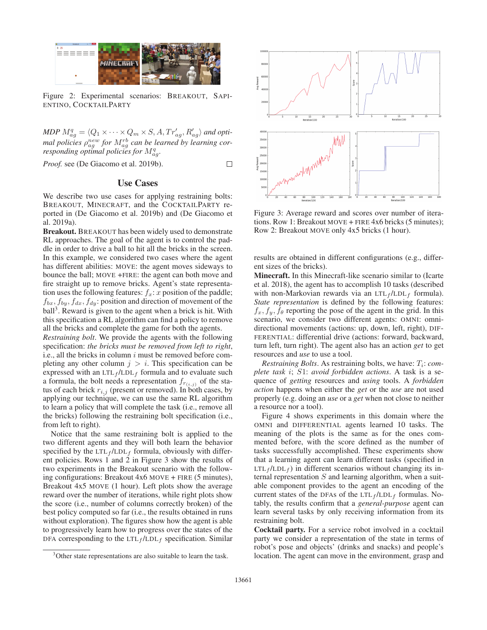

Figure 2: Experimental scenarios: BREAKOUT, SAPI-ENTINO, COCKTAILPARTY

 $MDP M_{ag}^q = \langle Q_1 \times \cdots \times Q_m \times S, A, Tr_{ag}^{\prime}, R_{ag}^{\prime} \rangle$  and optimal policies  $\rho_{ag}^{new}$  for  $M_{ag}^{rb}$  can be learned by learning cor*responding optimal policies for*  $M_{ag}^q$ .

 $\Box$ 

*Proof.* see (De Giacomo et al. 2019b).

# Use Cases

We describe two use cases for applying restraining bolts: BREAKOUT, MINECRAFT, and the COCKTAILPARTY reported in (De Giacomo et al. 2019b) and (De Giacomo et al. 2019a).

Breakout. BREAKOUT has been widely used to demonstrate RL approaches. The goal of the agent is to control the paddle in order to drive a ball to hit all the bricks in the screen. In this example, we considered two cases where the agent has different abilities: MOVE: the agent moves sideways to bounce the ball; MOVE +FIRE: the agent can both move and fire straight up to remove bricks. Agent's state representation uses the following features:  $f_x$ : x position of the paddle;  $f_{bx}, f_{by}, f_{dx}, f_{dy}$ : position and direction of movement of the  $ball<sup>3</sup>$ . Reward is given to the agent when a brick is hit. With this specification a RL algorithm can find a policy to remove all the bricks and complete the game for both the agents.

*Restraining bolt*. We provide the agents with the following specification: *the bricks must be removed from left to right*, i.e., all the bricks in column  $i$  must be removed before completing any other column  $j > i$ . This specification can be expressed with an  $LTL_f / LDL_f$  formula and to evaluate such a formula, the bolt needs a representation  $f_{r(i,j)}$  of the status of each brick  $r_{i,j}$  (present or removed). In both cases, by applying our technique, we can use the same RL algorithm to learn a policy that will complete the task (i.e., remove all the bricks) following the restraining bolt specification (i.e., from left to right).

Notice that the same restraining bolt is applied to the two different agents and they will both learn the behavior specified by the  $LTL_f / LDL_f$  formula, obviously with different policies. Rows 1 and 2 in Figure 3 show the results of two experiments in the Breakout scenario with the following configurations: Breakout 4x6 MOVE + FIRE (5 minutes), Breakout 4x5 MOVE (1 hour). Left plots show the average reward over the number of iterations, while right plots show the score (i.e., number of columns correctly broken) of the best policy computed so far (i.e., the results obtained in runs without exploration). The figures show how the agent is able to progressively learn how to progress over the states of the DFA corresponding to the  $LTL_f / LDL_f$  specification. Similar



Figure 3: Average reward and scores over number of iterations. Row 1: Breakout MOVE + FIRE 4x6 bricks (5 minutes); Row 2: Breakout MOVE only 4x5 bricks (1 hour).

results are obtained in different configurations (e.g., different sizes of the bricks).

Minecraft. In this Minecraft-like scenario similar to (Icarte et al. 2018), the agent has to accomplish 10 tasks (described with non-Markovian rewards via an  $LTL_f / LDL_f$  formula). *State representation* is defined by the following features:  $f_x, f_y, f_\theta$  reporting the pose of the agent in the grid. In this scenario, we consider two different agents: OMNI: omnidirectional movements (actions: up, down, left, right), DIF-FERENTIAL: differential drive (actions: forward, backward, turn left, turn right). The agent also has an action *get* to get resources and *use* to use a tool.

*Restraining Bolts.* As restraining bolts, we have:  $T_i$ : *complete task* i; S1: *avoid forbidden actions*. A task is a sequence of *getting* resources and *using* tools. A *forbidden action* happens when either the *get* or the *use* are not used properly (e.g. doing an *use* or a *get* when not close to neither a resource nor a tool).

Figure 4 shows experiments in this domain where the OMNI and DIFFERENTIAL agents learned 10 tasks. The meaning of the plots is the same as for the ones commented before, with the score defined as the number of tasks successfully accomplished. These experiments show that a learning agent can learn different tasks (specified in  $LTL_f / LDL_f$ ) in different scenarios without changing its internal representation  $S$  and learning algorithm, when a suitable component provides to the agent an encoding of the current states of the DFAs of the LTL $_f$ /LDL $_f$  formulas. Notably, the results confirm that a *general-purpose* agent can learn several tasks by only receiving information from its restraining bolt.

Cocktail party. For a service robot involved in a cocktail party we consider a representation of the state in terms of robot's pose and objects' (drinks and snacks) and people's location. The agent can move in the environment, grasp and

<sup>&</sup>lt;sup>3</sup>Other state representations are also suitable to learn the task.